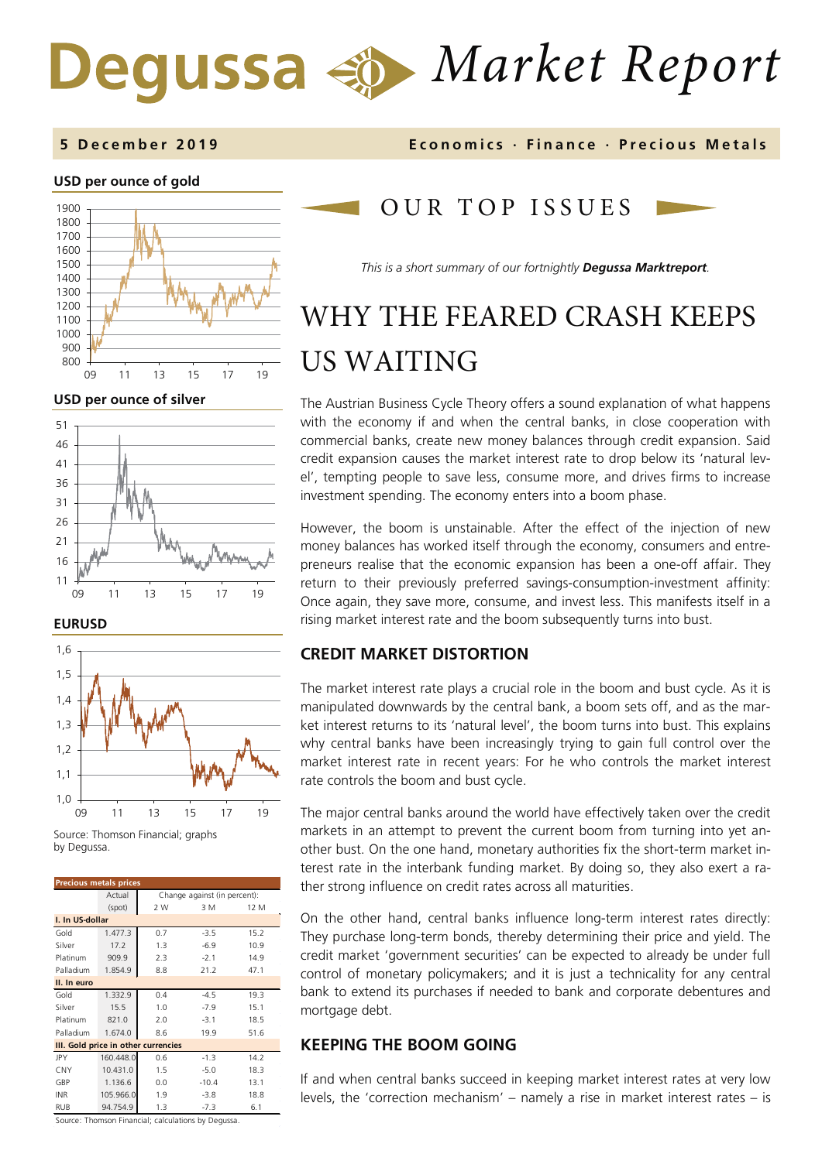# *Market Report* Degussa

### **USD per ounce of gold**



**USD per ounce of silver** 



### **EURUSD**



Source: Thomson Financial; graphs by Degussa.

| <b>Precious metals prices</b>       |           |                              |         |      |  |  |  |  |
|-------------------------------------|-----------|------------------------------|---------|------|--|--|--|--|
|                                     | Actual    | Change against (in percent): |         |      |  |  |  |  |
|                                     | (spot)    | 2 W<br>3 M<br>12 M           |         |      |  |  |  |  |
| I. In US-dollar                     |           |                              |         |      |  |  |  |  |
| Gold                                | 1.477.3   | 0.7                          | $-3.5$  | 15.2 |  |  |  |  |
| Silver                              | 17.2      | 1.3                          | $-6.9$  | 10.9 |  |  |  |  |
| Platinum                            | 909.9     | 2.3                          | $-2.1$  | 14.9 |  |  |  |  |
| Palladium                           | 1.854.9   | 8.8                          | 21.2    | 47.1 |  |  |  |  |
| II. In euro                         |           |                              |         |      |  |  |  |  |
| Gold                                | 1.332.9   | 0.4                          | $-4.5$  | 19.3 |  |  |  |  |
| Silver                              | 15.5      | 1.0                          | $-7.9$  | 15.1 |  |  |  |  |
| Platinum                            | 821.0     | 2.0                          | $-3.1$  | 18.5 |  |  |  |  |
| Palladium                           | 1.674.0   | 8.6                          | 19.9    | 51.6 |  |  |  |  |
| III. Gold price in other currencies |           |                              |         |      |  |  |  |  |
| <b>JPY</b>                          | 160.448.0 | 0.6                          | $-1.3$  | 14.2 |  |  |  |  |
| <b>CNY</b>                          | 10.431.0  | 1.5                          | $-5.0$  | 18.3 |  |  |  |  |
| GBP                                 | 1.136.6   | 0.0                          | $-10.4$ | 13.1 |  |  |  |  |
| <b>INR</b>                          | 105.966.0 | 1.9                          | $-3.8$  | 18.8 |  |  |  |  |
| RUB                                 | 94.754.9  | 1.3                          | $-7.3$  | 6.1  |  |  |  |  |

**5 Dec ember 201 9 Economics · Finance · Precious M etals**

### OUR TOP ISSUE S

*This is a short summary of our fortnightly Degussa Marktreport.*

# WHY THE FEARED CRASH KEEPS US WAITING

The Austrian Business Cycle Theory offers a sound explanation of what happens with the economy if and when the central banks, in close cooperation with commercial banks, create new money balances through credit expansion. Said credit expansion causes the market interest rate to drop below its 'natural level', tempting people to save less, consume more, and drives firms to increase investment spending. The economy enters into a boom phase.

However, the boom is unstainable. After the effect of the injection of new money balances has worked itself through the economy, consumers and entrepreneurs realise that the economic expansion has been a one-off affair. They return to their previously preferred savings-consumption-investment affinity: Once again, they save more, consume, and invest less. This manifests itself in a rising market interest rate and the boom subsequently turns into bust.

### **CREDIT MARKET DISTORTION**

The market interest rate plays a crucial role in the boom and bust cycle. As it is manipulated downwards by the central bank, a boom sets off, and as the market interest returns to its 'natural level', the boom turns into bust. This explains why central banks have been increasingly trying to gain full control over the market interest rate in recent years: For he who controls the market interest rate controls the boom and bust cycle.

The major central banks around the world have effectively taken over the credit markets in an attempt to prevent the current boom from turning into yet another bust. On the one hand, monetary authorities fix the short-term market interest rate in the interbank funding market. By doing so, they also exert a rather strong influence on credit rates across all maturities.

On the other hand, central banks influence long-term interest rates directly: They purchase long-term bonds, thereby determining their price and yield. The credit market 'government securities' can be expected to already be under full control of monetary policymakers; and it is just a technicality for any central bank to extend its purchases if needed to bank and corporate debentures and mortgage debt.

### **KEEPING THE BOOM GOING**

If and when central banks succeed in keeping market interest rates at very low levels, the 'correction mechanism' – namely a rise in market interest rates – is

Source: Thomson Financial; calculations by Degussa.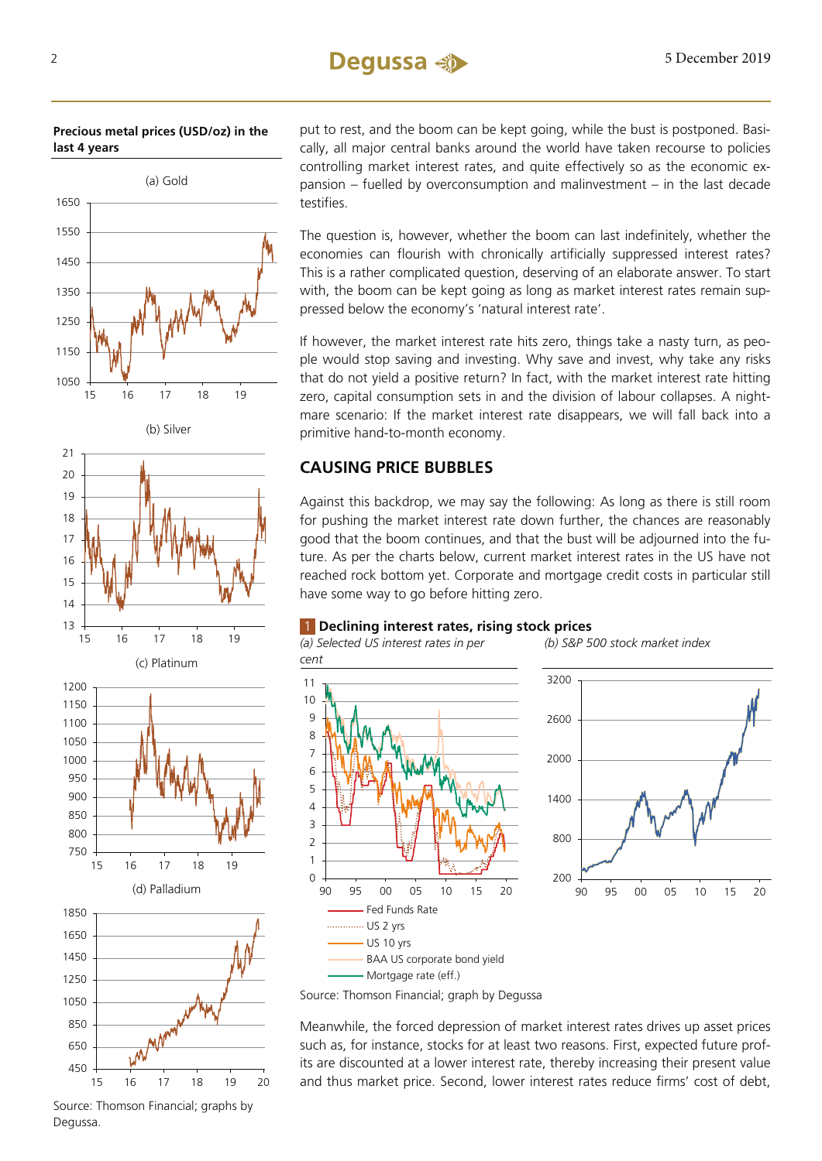**Precious metal prices (USD/oz) in the last 4 years**



(b) Silver





450 650 15 16 17 18 19 20

 $850$ 

put to rest, and the boom can be kept going, while the bust is postponed. Basically, all major central banks around the world have taken recourse to policies controlling market interest rates, and quite effectively so as the economic expansion – fuelled by overconsumption and malinvestment – in the last decade testifies.

The question is, however, whether the boom can last indefinitely, whether the economies can flourish with chronically artificially suppressed interest rates? This is a rather complicated question, deserving of an elaborate answer. To start with, the boom can be kept going as long as market interest rates remain suppressed below the economy's 'natural interest rate'.

If however, the market interest rate hits zero, things take a nasty turn, as people would stop saving and investing. Why save and invest, why take any risks that do not yield a positive return? In fact, with the market interest rate hitting zero, capital consumption sets in and the division of labour collapses. A nightmare scenario: If the market interest rate disappears, we will fall back into a primitive hand-to-month economy.

### **CAUSING PRICE BUBBLES**

Against this backdrop, we may say the following: As long as there is still room for pushing the market interest rate down further, the chances are reasonably good that the boom continues, and that the bust will be adjourned into the future. As per the charts below, current market interest rates in the US have not reached rock bottom yet. Corporate and mortgage credit costs in particular still have some way to go before hitting zero.

### 1 **Declining interest rates, rising stock prices**







Source: Thomson Financial; graph by Degussa

Meanwhile, the forced depression of market interest rates drives up asset prices such as, for instance, stocks for at least two reasons. First, expected future profits are discounted at a lower interest rate, thereby increasing their present value and thus market price. Second, lower interest rates reduce firms' cost of debt,

Source: Thomson Financial; graphs by Degussa.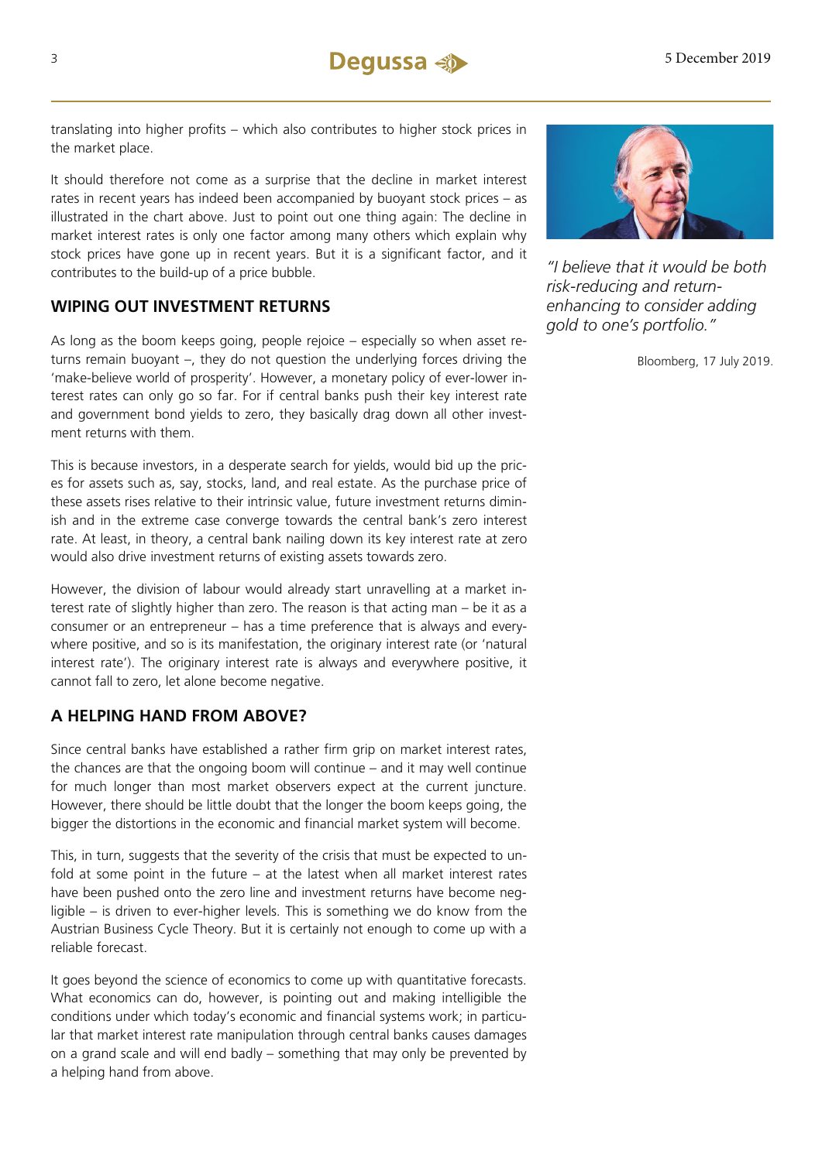translating into higher profits – which also contributes to higher stock prices in the market place.

It should therefore not come as a surprise that the decline in market interest rates in recent years has indeed been accompanied by buoyant stock prices – as illustrated in the chart above. Just to point out one thing again: The decline in market interest rates is only one factor among many others which explain why stock prices have gone up in recent years. But it is a significant factor, and it contributes to the build-up of a price bubble.

### **WIPING OUT INVESTMENT RETURNS**

As long as the boom keeps going, people rejoice – especially so when asset returns remain buoyant –, they do not question the underlying forces driving the 'make-believe world of prosperity'. However, a monetary policy of ever-lower interest rates can only go so far. For if central banks push their key interest rate and government bond yields to zero, they basically drag down all other investment returns with them.

This is because investors, in a desperate search for yields, would bid up the prices for assets such as, say, stocks, land, and real estate. As the purchase price of these assets rises relative to their intrinsic value, future investment returns diminish and in the extreme case converge towards the central bank's zero interest rate. At least, in theory, a central bank nailing down its key interest rate at zero would also drive investment returns of existing assets towards zero.

However, the division of labour would already start unravelling at a market interest rate of slightly higher than zero. The reason is that acting man – be it as a consumer or an entrepreneur – has a time preference that is always and everywhere positive, and so is its manifestation, the originary interest rate (or 'natural interest rate'). The originary interest rate is always and everywhere positive, it cannot fall to zero, let alone become negative.

### **A HELPING HAND FROM ABOVE?**

Since central banks have established a rather firm grip on market interest rates, the chances are that the ongoing boom will continue – and it may well continue for much longer than most market observers expect at the current juncture. However, there should be little doubt that the longer the boom keeps going, the bigger the distortions in the economic and financial market system will become.

This, in turn, suggests that the severity of the crisis that must be expected to unfold at some point in the future – at the latest when all market interest rates have been pushed onto the zero line and investment returns have become negligible – is driven to ever-higher levels. This is something we do know from the Austrian Business Cycle Theory. But it is certainly not enough to come up with a reliable forecast.

It goes beyond the science of economics to come up with quantitative forecasts. What economics can do, however, is pointing out and making intelligible the conditions under which today's economic and financial systems work; in particular that market interest rate manipulation through central banks causes damages on a grand scale and will end badly – something that may only be prevented by a helping hand from above.



*"I believe that it would be both risk-reducing and returnenhancing to consider adding gold to one's portfolio."*

Bloomberg, 17 July 2019.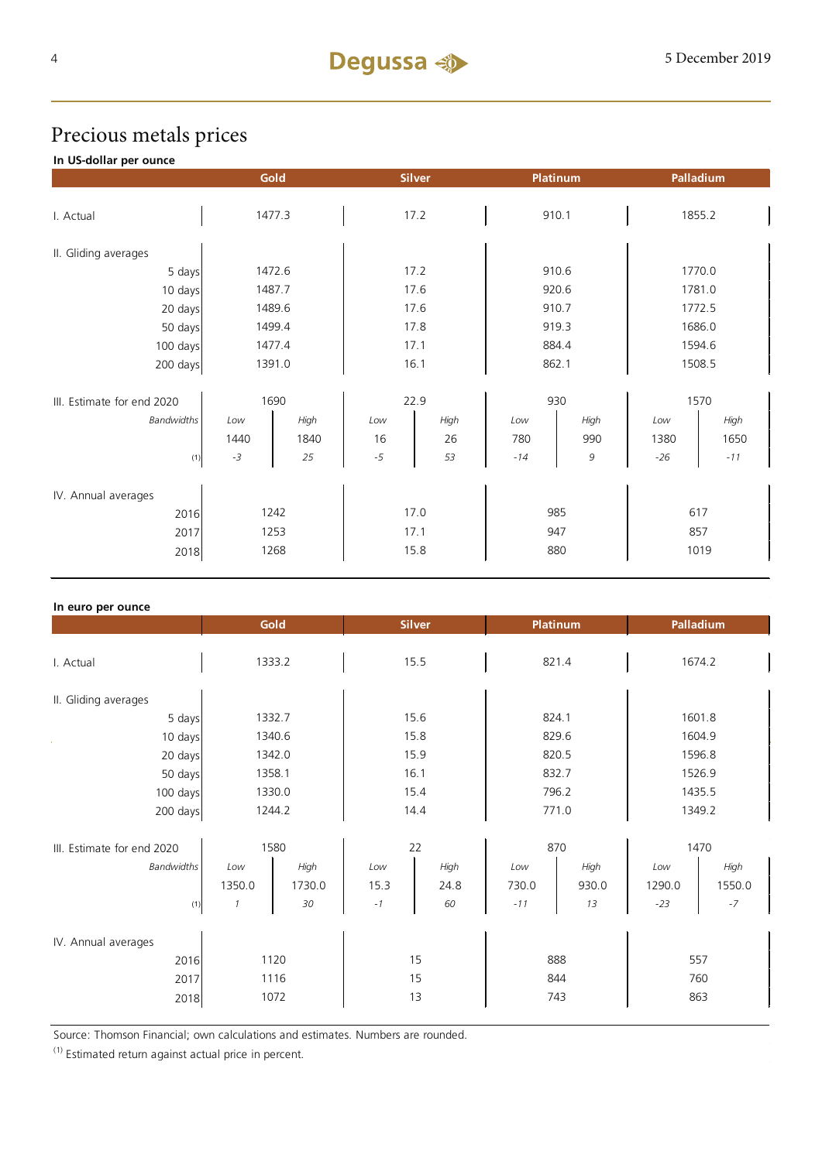### Precious metals prices

### **In US-dollar per ounce**

|                            |        | Gold           |      | <b>Silver</b> |       | Platinum | Palladium |        |  |
|----------------------------|--------|----------------|------|---------------|-------|----------|-----------|--------|--|
| I. Actual                  |        | 1477.3<br>17.2 |      | 910.1         |       | 1855.2   |           |        |  |
|                            |        |                |      |               |       |          |           |        |  |
| II. Gliding averages       |        |                |      |               |       |          |           |        |  |
| 5 days                     |        | 1472.6         | 17.2 |               | 910.6 |          | 1770.0    |        |  |
| 10 days                    |        | 1487.7         | 17.6 |               |       | 920.6    |           | 1781.0 |  |
| 20 days                    | 1489.6 |                | 17.6 |               | 910.7 |          | 1772.5    |        |  |
| 50 days                    | 1499.4 |                | 17.8 |               | 919.3 |          | 1686.0    |        |  |
| 100 days                   | 1477.4 |                | 17.1 |               | 884.4 |          | 1594.6    |        |  |
| 200 days                   | 1391.0 |                | 16.1 |               | 862.1 |          | 1508.5    |        |  |
|                            |        |                |      |               |       |          |           |        |  |
| III. Estimate for end 2020 | 1690   |                | 22.9 |               | 930   |          | 1570      |        |  |
| <b>Bandwidths</b>          | Low    | High           | Low  | High          | Low   | High     | Low       | High   |  |
|                            | 1440   | 1840           | 16   | 26            | 780   | 990      | 1380      | 1650   |  |
| (1)                        | $-3$   | 25             | $-5$ | 53            | $-14$ | 9        | $-26$     | $-11$  |  |
| IV. Annual averages        |        |                |      |               |       |          |           |        |  |
| 2016                       | 1242   |                | 17.0 |               | 985   |          | 617       |        |  |
| 2017                       | 1253   |                | 17.1 |               | 947   |          | 857       |        |  |
|                            | 1268   |                | 15.8 |               |       | 880      |           | 1019   |  |
| 2018                       |        |                |      |               |       |          |           |        |  |

| In euro per ounce          |               |        |      |               |       |                 |           |        |  |
|----------------------------|---------------|--------|------|---------------|-------|-----------------|-----------|--------|--|
|                            |               | Gold   |      | <b>Silver</b> |       | <b>Platinum</b> | Palladium |        |  |
|                            |               |        |      |               |       |                 |           |        |  |
| I. Actual                  | 1333.2        |        | 15.5 |               | 821.4 |                 | 1674.2    |        |  |
|                            |               |        |      |               |       |                 |           |        |  |
| II. Gliding averages       |               |        |      |               |       |                 |           |        |  |
| 5 days                     |               | 1332.7 | 15.6 |               |       | 824.1           |           | 1601.8 |  |
| 10 days                    | 1340.6        |        | 15.8 |               | 829.6 |                 | 1604.9    |        |  |
| 20 days                    |               | 1342.0 | 15.9 |               | 820.5 |                 | 1596.8    |        |  |
| 50 days                    | 1358.1        |        | 16.1 |               | 832.7 |                 | 1526.9    |        |  |
| 100 days                   | 1330.0        |        | 15.4 |               | 796.2 |                 | 1435.5    |        |  |
| 200 days                   | 1244.2        |        | 14.4 |               | 771.0 |                 | 1349.2    |        |  |
|                            |               |        |      |               |       |                 |           |        |  |
| III. Estimate for end 2020 | 1580          |        | 22   |               | 870   |                 | 1470      |        |  |
| <b>Bandwidths</b>          | Low           | High   | Low  | High          | Low   | High            | Low       | High   |  |
|                            | 1350.0        | 1730.0 | 15.3 | 24.8          | 730.0 | 930.0           | 1290.0    | 1550.0 |  |
| (1)                        | $\mathcal{I}$ | 30     | $-1$ | 60            | $-11$ | 13              | $-23$     | $-7$   |  |
|                            |               |        |      |               |       |                 |           |        |  |
| IV. Annual averages        |               |        |      |               |       |                 |           |        |  |
| 2016                       | 1120          |        | 15   |               | 888   |                 | 557       |        |  |
| 2017                       | 1116          |        | 15   |               |       | 844             |           | 760    |  |
| 2018                       |               | 1072   | 13   |               |       | 743             |           | 863    |  |
|                            |               |        |      |               |       |                 |           |        |  |

Source: Thomson Financial; own calculations and estimates. Numbers are rounded.

 $(1)$  Estimated return against actual price in percent.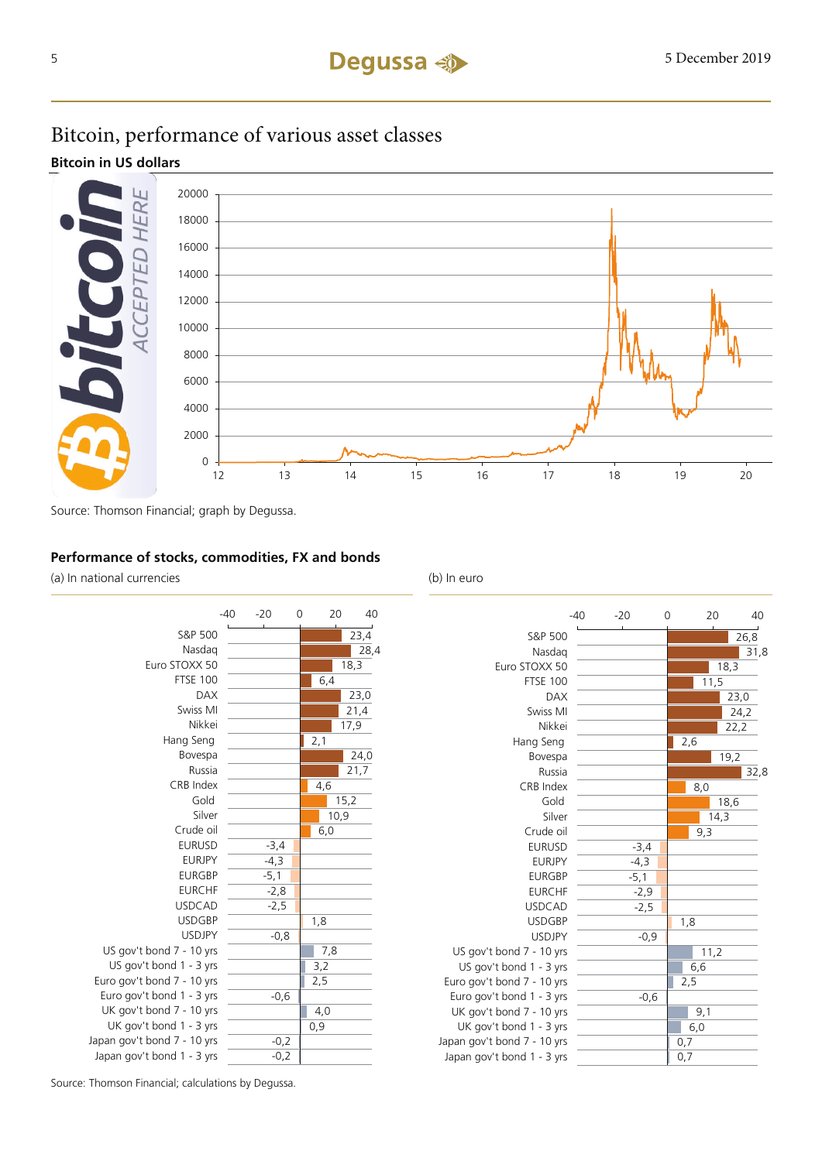## Bitcoin, performance of various asset classes

**Bitcoin in US dollars**



Source: Thomson Financial; graph by Degussa.

### **Performance of stocks, commodities, FX and bonds**

(a) In national currencies (b) In euro

|                             | $-40$ | $-20$  | 0 |     | 20   | 40   |
|-----------------------------|-------|--------|---|-----|------|------|
| S&P 500                     |       |        |   |     |      | 23,4 |
| Nasdag                      |       |        |   |     |      | 28,4 |
| Euro STOXX 50               |       |        |   |     | 18,3 |      |
| <b>FTSE 100</b>             |       |        |   | 6,4 |      |      |
| <b>DAX</b>                  |       |        |   |     |      | 23,0 |
| Swiss MI                    |       |        |   |     |      | 21,4 |
| Nikkei                      |       |        |   |     | 17,9 |      |
| Hang Seng                   |       |        |   | 2,1 |      |      |
| Bovespa                     |       |        |   |     |      | 24,0 |
| Russia                      |       |        |   |     |      | 21,7 |
| CRB Index                   |       |        |   | 4,6 |      |      |
| Gold                        |       |        |   |     | 15,2 |      |
| Silver                      |       |        |   |     | 10,9 |      |
| Crude oil                   |       |        |   | 6,0 |      |      |
| <b>EURUSD</b>               |       | $-3,4$ |   |     |      |      |
| <b>EURJPY</b>               |       | $-4,3$ |   |     |      |      |
| <b>EURGBP</b>               |       | $-5,1$ |   |     |      |      |
| <b>EURCHF</b>               |       | $-2,8$ |   |     |      |      |
| <b>USDCAD</b>               |       | $-2,5$ |   |     |      |      |
| <b>USDGBP</b>               |       |        |   | 1,8 |      |      |
| <b>USDJPY</b>               |       | $-0,8$ |   |     |      |      |
| US gov't bond 7 - 10 yrs    |       |        |   | 7,8 |      |      |
| US gov't bond 1 - 3 yrs     |       |        |   | 3,2 |      |      |
| Euro gov't bond 7 - 10 yrs  |       |        |   | 2,5 |      |      |
| Euro gov't bond 1 - 3 yrs   |       | $-0,6$ |   |     |      |      |
| UK gov't bond 7 - 10 yrs    |       |        |   | 4,0 |      |      |
| UK gov't bond 1 - 3 yrs     |       |        |   | 0,9 |      |      |
| Japan gov't bond 7 - 10 yrs |       | $-0,2$ |   |     |      |      |
| Japan gov't bond 1 - 3 yrs  |       | $-0,2$ |   |     |      |      |

|                             | $-40$ | $-20$  | 0 |     | 20   |      | 40   |
|-----------------------------|-------|--------|---|-----|------|------|------|
| S&P 500                     |       |        |   |     |      |      | 26,8 |
| Nasdag                      |       |        |   |     |      |      | 31,8 |
| Euro STOXX 50               |       |        |   |     |      | 18,3 |      |
| <b>FTSE 100</b>             |       |        |   |     | 11,5 |      |      |
| <b>DAX</b>                  |       |        |   |     |      | 23,0 |      |
| Swiss MI                    |       |        |   |     |      | 24,2 |      |
| Nikkei                      |       |        |   |     |      | 22,2 |      |
| Hang Seng                   |       |        |   | 2,6 |      |      |      |
| Bovespa                     |       |        |   |     |      | 19,2 |      |
| Russia                      |       |        |   |     |      |      | 32,8 |
| CRB Index                   |       |        |   |     | 8,0  |      |      |
| Gold                        |       |        |   |     |      | 18,6 |      |
| Silver                      |       |        |   |     |      | 14,3 |      |
| Crude oil                   |       |        |   |     | 9,3  |      |      |
| <b>EURUSD</b>               |       | $-3,4$ |   |     |      |      |      |
| <b>EURJPY</b>               |       | $-4,3$ |   |     |      |      |      |
| <b>EURGBP</b>               |       | $-5,1$ |   |     |      |      |      |
| <b>EURCHF</b>               |       | $-2,9$ |   |     |      |      |      |
| <b>USDCAD</b>               |       | $-2,5$ |   |     |      |      |      |
| <b>USDGBP</b>               |       |        |   | 1,8 |      |      |      |
| <b>USDJPY</b>               |       | $-0,9$ |   |     |      |      |      |
| US gov't bond 7 - 10 yrs    |       |        |   |     | 11,2 |      |      |
| US gov't bond 1 - 3 yrs     |       |        |   |     | 6,6  |      |      |
| Euro gov't bond 7 - 10 yrs  |       |        |   | 2,5 |      |      |      |
| Euro gov't bond 1 - 3 yrs   |       | $-0,6$ |   |     |      |      |      |
| UK gov't bond 7 - 10 yrs    |       |        |   |     | 9,1  |      |      |
| UK gov't bond 1 - 3 yrs     |       |        |   |     | 6,0  |      |      |
| Japan gov't bond 7 - 10 yrs |       |        |   | 0,7 |      |      |      |
| Japan gov't bond 1 - 3 yrs  |       |        |   | 0,7 |      |      |      |

Source: Thomson Financial; calculations by Degussa.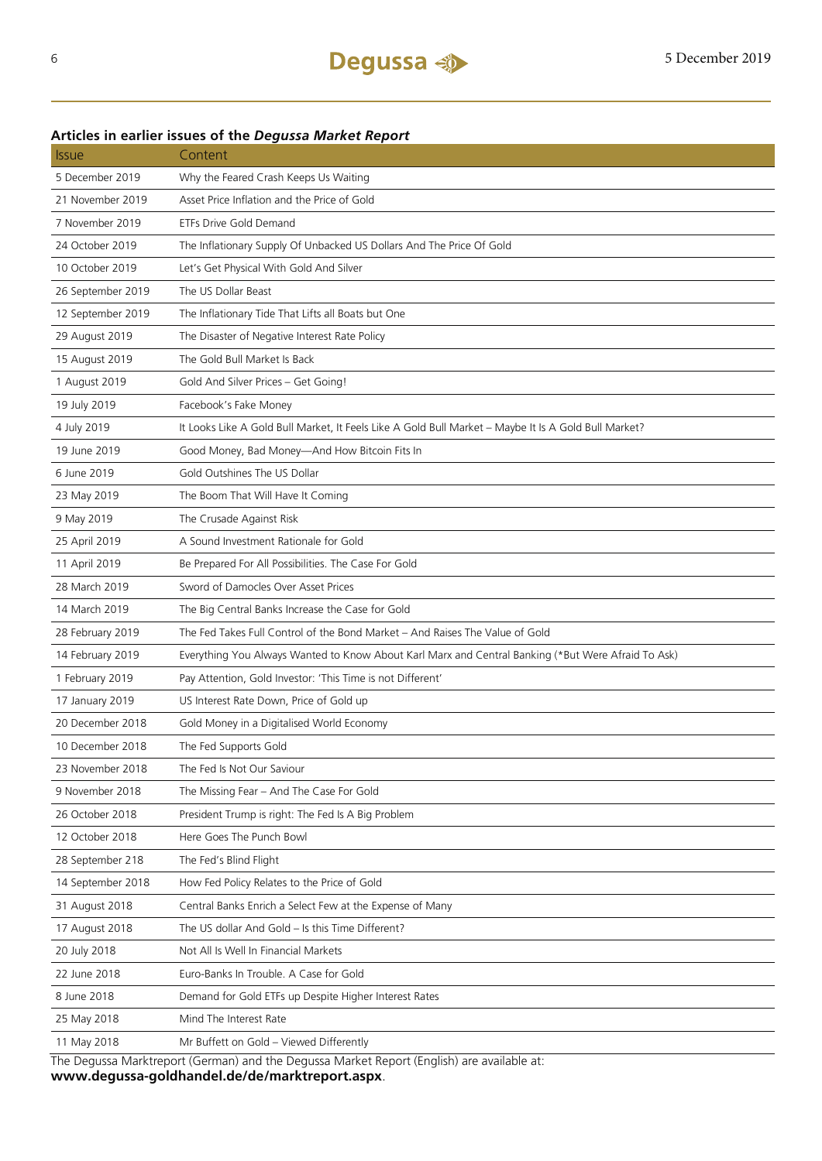### Issue Content 5 December 2019 Why the Feared Crash Keeps Us Waiting 21 November 2019 Asset Price Inflation and the Price of Gold 7 November 2019 ETFs Drive Gold Demand 24 October 2019 The Inflationary Supply Of Unbacked US Dollars And The Price Of Gold 10 October 2019 Let's Get Physical With Gold And Silver 26 September 2019 The US Dollar Beast 12 September 2019 The Inflationary Tide That Lifts all Boats but One 29 August 2019 The Disaster of Negative Interest Rate Policy 15 August 2019 The Gold Bull Market Is Back 1 August 2019 Gold And Silver Prices – Get Going! 19 July 2019 Facebook's Fake Money 4 July 2019 It Looks Like A Gold Bull Market, It Feels Like A Gold Bull Market – Maybe It Is A Gold Bull Market? 19 June 2019 Good Money, Bad Money—And How Bitcoin Fits In 6 June 2019 Gold Outshines The US Dollar 23 May 2019 The Boom That Will Have It Coming 9 May 2019 The Crusade Against Risk 25 April 2019 A Sound Investment Rationale for Gold 11 April 2019 Be Prepared For All Possibilities. The Case For Gold 28 March 2019 Sword of Damocles Over Asset Prices 14 March 2019 The Big Central Banks Increase the Case for Gold 28 February 2019 The Fed Takes Full Control of the Bond Market – And Raises The Value of Gold 14 February 2019 Everything You Always Wanted to Know About Karl Marx and Central Banking (\*But Were Afraid To Ask) 1 February 2019 Pay Attention, Gold Investor: 'This Time is not Different' 17 January 2019 US Interest Rate Down, Price of Gold up 20 December 2018 Gold Money in a Digitalised World Economy 10 December 2018 The Fed Supports Gold 23 November 2018 The Fed Is Not Our Saviour 9 November 2018 The Missing Fear – And The Case For Gold 26 October 2018 President Trump is right: The Fed Is A Big Problem 12 October 2018 Here Goes The Punch Bowl 28 September 218 The Fed's Blind Flight 14 September 2018 How Fed Policy Relates to the Price of Gold 31 August 2018 Central Banks Enrich a Select Few at the Expense of Many 17 August 2018 The US dollar And Gold – Is this Time Different? 20 July 2018 Not All Is Well In Financial Markets 22 June 2018 Euro-Banks In Trouble. A Case for Gold 8 June 2018 Demand for Gold ETFs up Despite Higher Interest Rates 25 May 2018 Mind The Interest Rate 11 May 2018 Mr Buffett on Gold – Viewed Differently The Degussa Marktreport (German) and the Degussa Market Report (English) are available at:

**Articles in earlier issues of the** *Degussa Market Report*

**www.degussa-goldhandel.de/de/marktreport.aspx**.